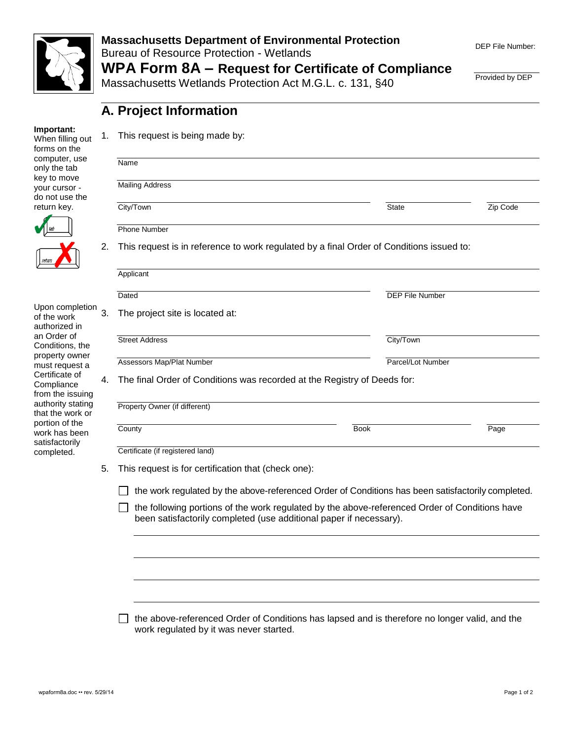

#### **Massachusetts Department of Environmental Protection**  Bureau of Resource Protection - Wetlands **WPA Form 8A – Request for Certificate of Compliance**

Massachusetts Wetlands Protection Act M.G.L. c. 131, §40

**A. Project Information**

1. This request is being made by:

| Provided by DEP |  |
|-----------------|--|
|                 |  |

#### **Important:**

When filling out forms on the computer, use only the tab key to move your cursor do not use the return key.



Upon completion 3 of the work authorized in an Order of Conditions, the property owner must request a Certificate of **Compliance** from the issuing authority stating that the work or portion of the work has been satisfactorily completed.

| Name                                                                     |                                                                                                   |          |
|--------------------------------------------------------------------------|---------------------------------------------------------------------------------------------------|----------|
| <b>Mailing Address</b>                                                   |                                                                                                   |          |
| City/Town                                                                | <b>State</b>                                                                                      | Zip Code |
| <b>Phone Number</b>                                                      |                                                                                                   |          |
|                                                                          | This request is in reference to work regulated by a final Order of Conditions issued to:          |          |
| Applicant                                                                |                                                                                                   |          |
| Dated                                                                    | <b>DEP File Number</b>                                                                            |          |
| The project site is located at:                                          |                                                                                                   |          |
| <b>Street Address</b>                                                    | City/Town                                                                                         |          |
|                                                                          |                                                                                                   |          |
| Assessors Map/Plat Number                                                | Parcel/Lot Number                                                                                 |          |
| The final Order of Conditions was recorded at the Registry of Deeds for: |                                                                                                   |          |
| Property Owner (if different)                                            |                                                                                                   |          |
| County                                                                   | <b>Book</b>                                                                                       | Page     |
| Certificate (if registered land)                                         |                                                                                                   |          |
| This request is for certification that (check one):                      |                                                                                                   |          |
|                                                                          | the work regulated by the above-referenced Order of Conditions has been satisfactorily completed. |          |
| been satisfactorily completed (use additional paper if necessary).       | the following portions of the work regulated by the above-referenced Order of Conditions have     |          |
|                                                                          |                                                                                                   |          |
|                                                                          |                                                                                                   |          |

□ the above-referenced Order of Conditions has lapsed and is therefore no longer valid, and the work regulated by it was never started.